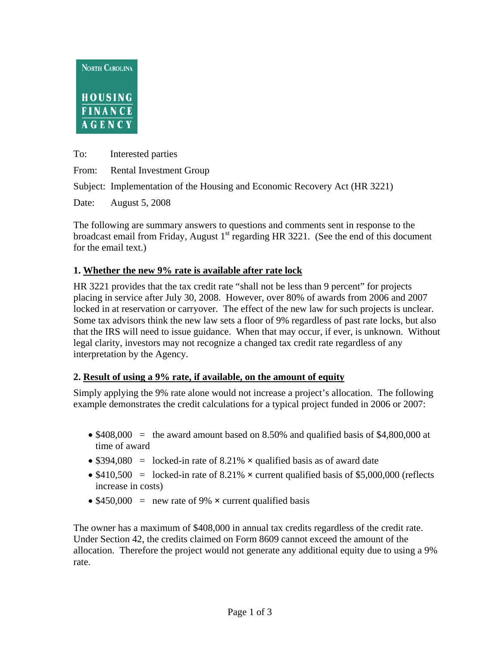

To: Interested parties

From: Rental Investment Group

Subject: Implementation of the Housing and Economic Recovery Act (HR 3221)

Date: August 5, 2008

The following are summary answers to questions and comments sent in response to the broadcast email from Friday, August  $1<sup>st</sup>$  regarding HR 3221. (See the end of this document for the email text.)

### **1. Whether the new 9% rate is available after rate lock**

HR 3221 provides that the tax credit rate "shall not be less than 9 percent" for projects placing in service after July 30, 2008. However, over 80% of awards from 2006 and 2007 locked in at reservation or carryover. The effect of the new law for such projects is unclear. Some tax advisors think the new law sets a floor of 9% regardless of past rate locks, but also that the IRS will need to issue guidance. When that may occur, if ever, is unknown. Without legal clarity, investors may not recognize a changed tax credit rate regardless of any interpretation by the Agency.

# **2. Result of using a 9% rate, if available, on the amount of equity**

Simply applying the 9% rate alone would not increase a project's allocation. The following example demonstrates the credit calculations for a typical project funded in 2006 or 2007:

- $$408,000$  = the award amount based on 8.50% and qualified basis of \$4,800,000 at time of award
- \$394,080 = locked-in rate of 8.21%  $\times$  qualified basis as of award date
- \$410,500 = locked-in rate of 8.21%  $\times$  current qualified basis of \$5,000,000 (reflects increase in costs)
- $$450,000 =$  new rate of 9%  $\times$  current qualified basis

The owner has a maximum of \$408,000 in annual tax credits regardless of the credit rate. Under Section 42, the credits claimed on Form 8609 cannot exceed the amount of the allocation. Therefore the project would not generate any additional equity due to using a 9% rate.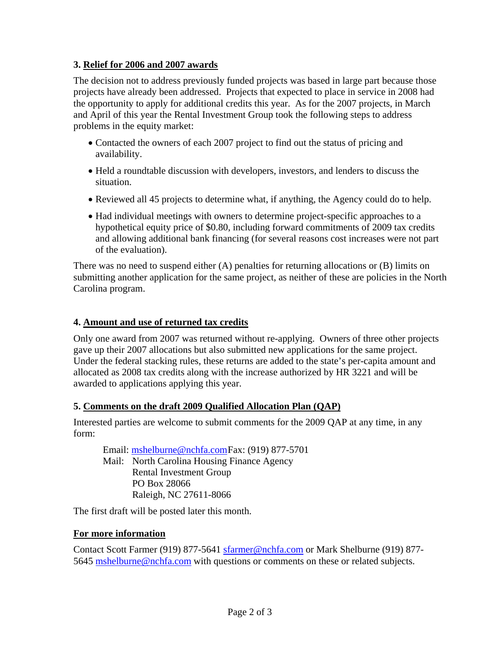### **3. Relief for 2006 and 2007 awards**

The decision not to address previously funded projects was based in large part because those projects have already been addressed. Projects that expected to place in service in 2008 had the opportunity to apply for additional credits this year. As for the 2007 projects, in March and April of this year the Rental Investment Group took the following steps to address problems in the equity market:

- Contacted the owners of each 2007 project to find out the status of pricing and availability.
- Held a roundtable discussion with developers, investors, and lenders to discuss the situation.
- Reviewed all 45 projects to determine what, if anything, the Agency could do to help.
- Had individual meetings with owners to determine project-specific approaches to a hypothetical equity price of \$0.80, including forward commitments of 2009 tax credits and allowing additional bank financing (for several reasons cost increases were not part of the evaluation).

There was no need to suspend either (A) penalties for returning allocations or (B) limits on submitting another application for the same project, as neither of these are policies in the North Carolina program.

### **4. Amount and use of returned tax credits**

Only one award from 2007 was returned without re-applying. Owners of three other projects gave up their 2007 allocations but also submitted new applications for the same project. Under the federal stacking rules, these returns are added to the state's per-capita amount and allocated as 2008 tax credits along with the increase authorized by HR 3221 and will be awarded to applications applying this year.

### **5. Comments on the draft 2009 Qualified Allocation Plan (QAP)**

Interested parties are welcome to submit comments for the 2009 QAP at any time, in any form:

Email: mshelburne@nchfa.com Fax: (919) 877-5701 Mail: North Carolina Housing Finance Agency Rental Investment Group PO Box 28066 Raleigh, NC 27611-8066

The first draft will be posted later this month.

### **For more information**

Contact Scott Farmer (919) 877-5641 sfarmer@nchfa.com or Mark Shelburne (919) 877- 5645 mshelburne@nchfa.com with questions or comments on these or related subjects.